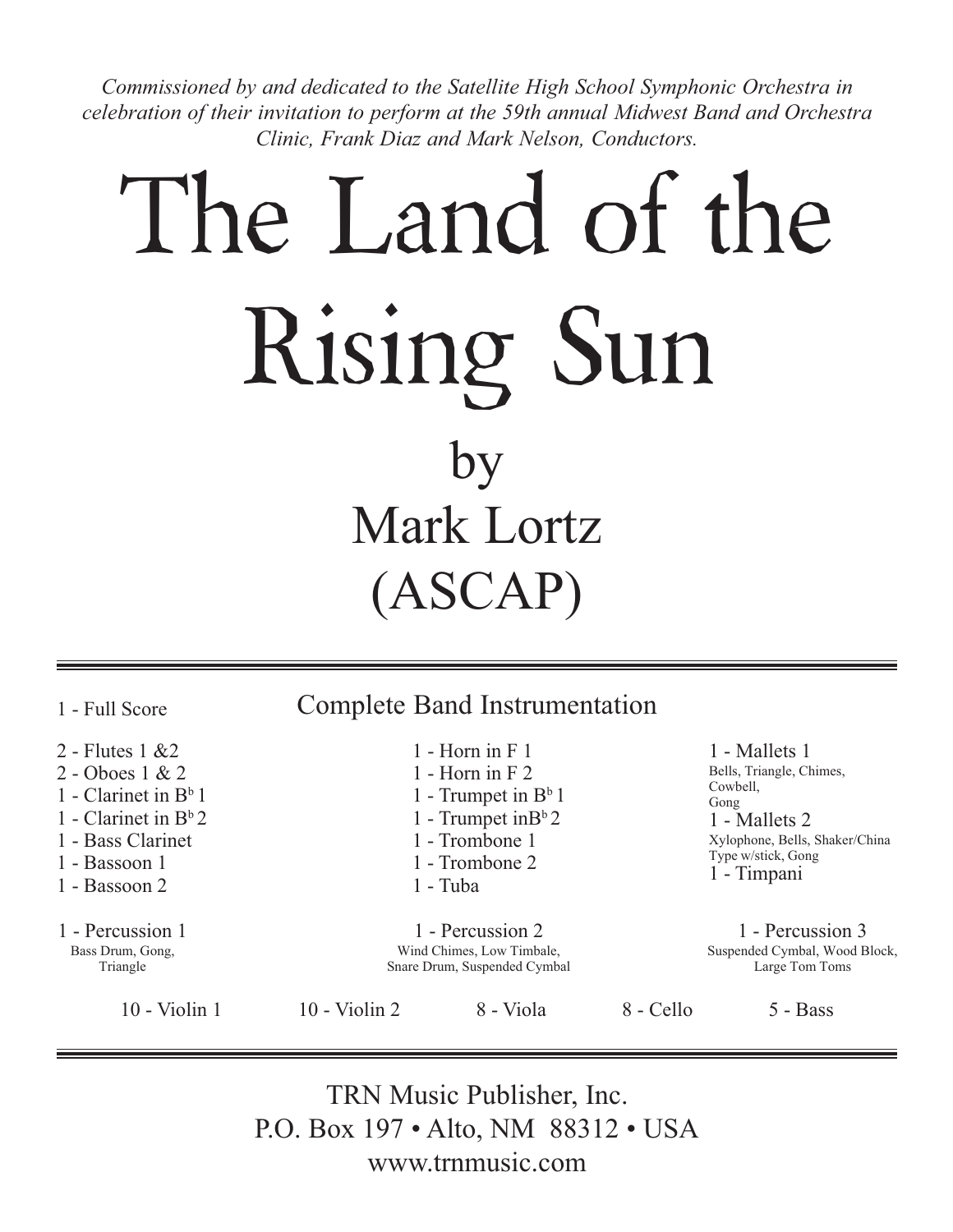*Commissioned by and dedicated to the Satellite High School Symphonic Orchestra in celebration of their invitation to perform at the 59th annual Midwest Band and Orchestra Clinic, Frank Diaz and Mark Nelson, Conductors.*

## The Land of the Rising Sun by Mark Lortz (ASCAP)

Complete Band Instrumentation 2 - Flutes 1 &2 2 - Oboes 1 & 2 1 - Clarinet in  $B^b$  1 1 - Clarinet in  $B^b 2$ 1 - Bass Clarinet 1 - Bassoon 1 1 - Bassoon 2 1 - Horn in F 1 1 - Horn in F 2 1 - Trumpet in  $B^b$  1 1 - Trumpet in $B^b 2$ 1 - Trombone 1 1 - Trombone 2 1 - Tuba 1 - Mallets 1 Bells, Triangle, Chimes, Cowbell, Gong 1 - Mallets 2 Xylophone, Bells, Shaker/China Type w/stick, Gong 1 - Timpani 1 - Full Score 1 - Percussion 1 Bass Drum, Gong, Triangle 1 - Percussion 2 Wind Chimes, Low Timbale, Snare Drum, Suspended Cymbal 1 - Percussion 3 Suspended Cymbal, Wood Block, Large Tom Toms 10 - Violin 1 10 - Violin 2 8 - Viola 8 - Cello 5 - Bass

> TRN Music Publisher, Inc. P.O. Box 197 • Alto, NM 88312 • USA www.trnmusic.com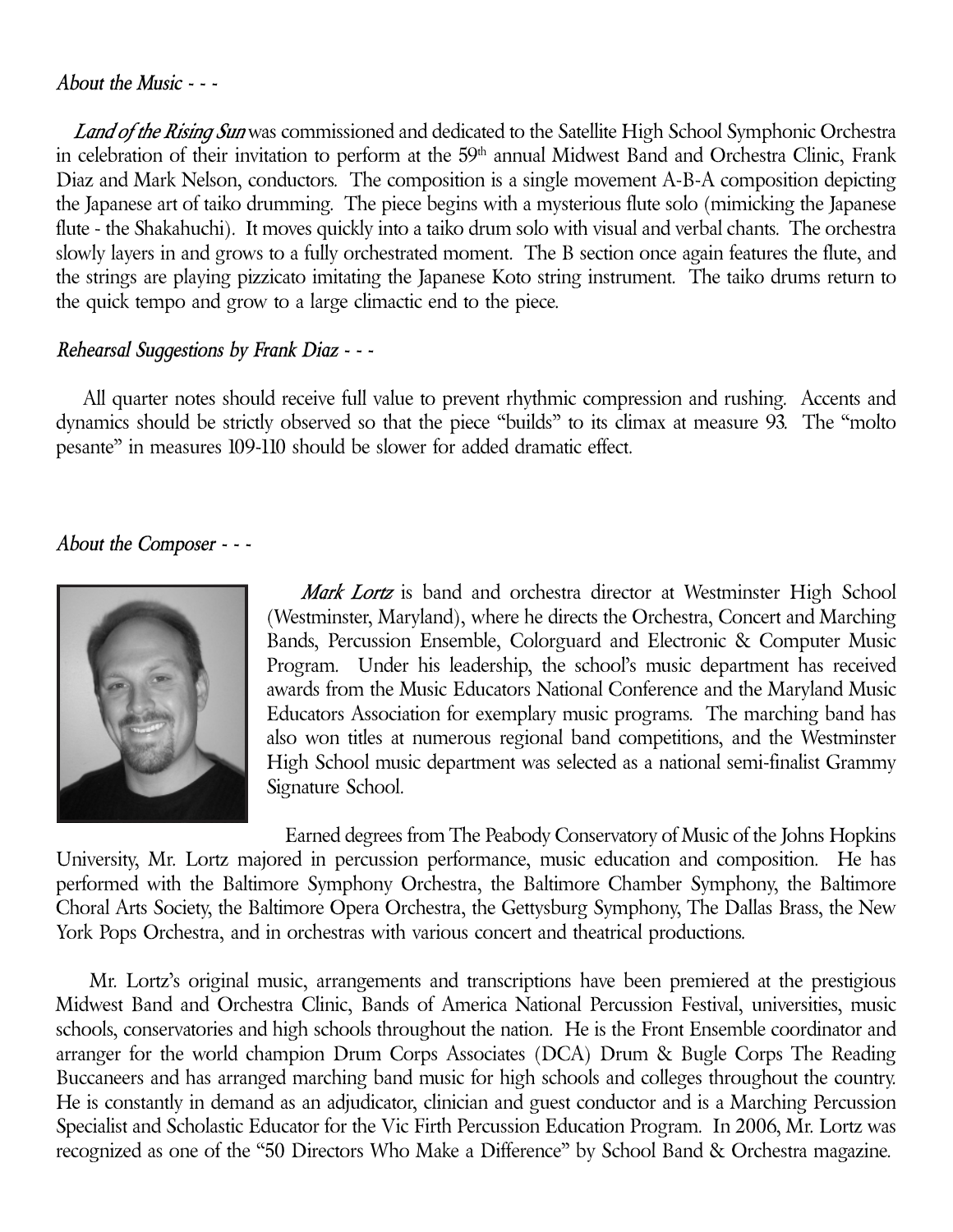## *About the Music - - -*

 *Land of the Rising Sun* was commissioned and dedicated to the Satellite High School Symphonic Orchestra in celebration of their invitation to perform at the 59<sup>th</sup> annual Midwest Band and Orchestra Clinic, Frank Diaz and Mark Nelson, conductors. The composition is a single movement A-B-A composition depicting the Japanese art of taiko drumming. The piece begins with a mysterious flute solo (mimicking the Japanese flute - the Shakahuchi). It moves quickly into a taiko drum solo with visual and verbal chants. The orchestra slowly layers in and grows to a fully orchestrated moment. The B section once again features the flute, and the strings are playing pizzicato imitating the Japanese Koto string instrument. The taiko drums return to the quick tempo and grow to a large climactic end to the piece.

## *Rehearsal Suggestions by Frank Diaz - - -*

 All quarter notes should receive full value to prevent rhythmic compression and rushing. Accents and dynamics should be strictly observed so that the piece "builds" to its climax at measure 93. The "molto pesante" in measures 109-110 should be slower for added dramatic effect.

## *About the Composer - - -*



 *Mark Lortz* is band and orchestra director at Westminster High School (Westminster, Maryland), where he directs the Orchestra, Concert and Marching Bands, Percussion Ensemble, Colorguard and Electronic & Computer Music Program. Under his leadership, the school's music department has received awards from the Music Educators National Conference and the Maryland Music Educators Association for exemplary music programs. The marching band has also won titles at numerous regional band competitions, and the Westminster High School music department was selected as a national semi-finalist Grammy Signature School.

 Earned degrees from The Peabody Conservatory of Music of the Johns Hopkins University, Mr. Lortz majored in percussion performance, music education and composition. He has performed with the Baltimore Symphony Orchestra, the Baltimore Chamber Symphony, the Baltimore Choral Arts Society, the Baltimore Opera Orchestra, the Gettysburg Symphony, The Dallas Brass, the New York Pops Orchestra, and in orchestras with various concert and theatrical productions.

 Mr. Lortz's original music, arrangements and transcriptions have been premiered at the prestigious Midwest Band and Orchestra Clinic, Bands of America National Percussion Festival, universities, music schools, conservatories and high schools throughout the nation. He is the Front Ensemble coordinator and arranger for the world champion Drum Corps Associates (DCA) Drum & Bugle Corps The Reading Buccaneers and has arranged marching band music for high schools and colleges throughout the country. He is constantly in demand as an adjudicator, clinician and guest conductor and is a Marching Percussion Specialist and Scholastic Educator for the Vic Firth Percussion Education Program. In 2006, Mr. Lortz was recognized as one of the "50 Directors Who Make a Difference" by School Band & Orchestra magazine.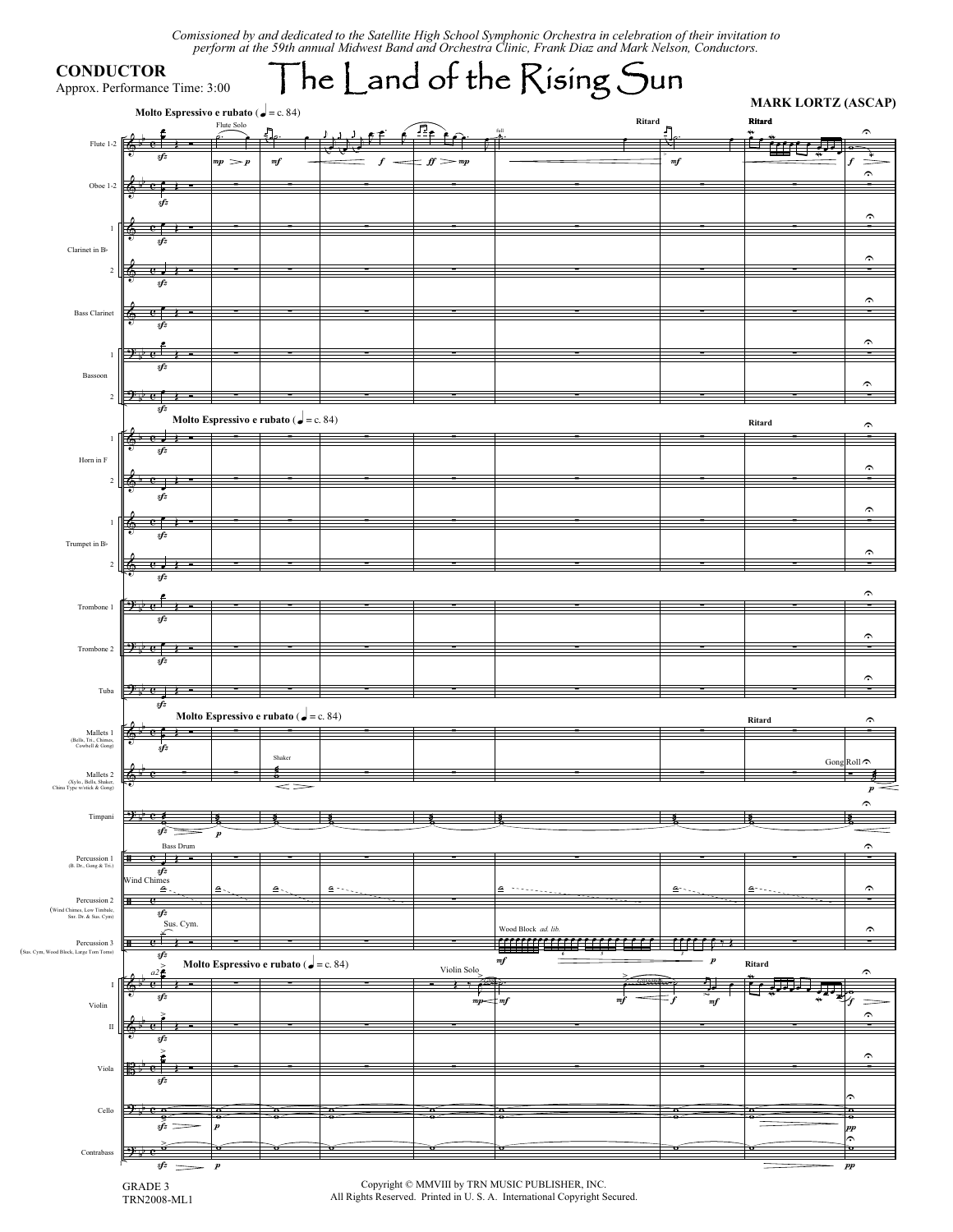Comissioned by and dedicated to the Satellite High School Symphonic Orchestra in celebration of their invitation to<br>perform at the 59th annual Midwest Band and Orchestra Clinic. Frank Diaz and Mark Nelson. Conductors.

|                                                      | Approx. Performance Time: 3:00<br>Molto Espressivo e rubato ( $\bullet$ = c. 84) |                  |                                                       |    |                                | $\mathsf{\bar{\,}}$ he $\mathsf{\underline{\,}}$ and of the $\mathsf{\underline{\,}}$ Kising $\mathsf{\underline{S}}$ un |                  | <b>MARK LORTZ (ASCAP)</b> |                                                |
|------------------------------------------------------|----------------------------------------------------------------------------------|------------------|-------------------------------------------------------|----|--------------------------------|--------------------------------------------------------------------------------------------------------------------------|------------------|---------------------------|------------------------------------------------|
|                                                      |                                                                                  | Flute Solo       |                                                       |    |                                |                                                                                                                          | Ritard           | Ritard                    | ́                                              |
| Flute 1-2                                            |                                                                                  |                  |                                                       |    |                                |                                                                                                                          |                  |                           |                                                |
|                                                      |                                                                                  | $mp \geq p$      | $m$ f                                                 |    | $\textit{ff} \geq \textit{mp}$ |                                                                                                                          | m f              |                           | $\widehat{\phantom{a}}$                        |
| Oboe 1-2                                             |                                                                                  |                  |                                                       |    |                                |                                                                                                                          |                  |                           | Ξ                                              |
|                                                      | sfz                                                                              |                  |                                                       |    |                                |                                                                                                                          |                  |                           |                                                |
| $\mathbf{1}$                                         |                                                                                  |                  |                                                       |    |                                |                                                                                                                          |                  |                           | $\widehat{\phantom{a}}$                        |
| Clarinet in B                                        | sfz                                                                              |                  |                                                       |    |                                |                                                                                                                          |                  |                           |                                                |
| $\sqrt{2}$                                           |                                                                                  |                  |                                                       |    |                                |                                                                                                                          |                  |                           | $\widehat{\phantom{a}}$                        |
|                                                      | sfz                                                                              |                  |                                                       |    |                                |                                                                                                                          |                  |                           |                                                |
| <b>Bass Clarinet</b>                                 |                                                                                  |                  |                                                       |    |                                |                                                                                                                          |                  |                           | $\widehat{\phantom{a}}$<br>$\blacksquare$      |
|                                                      | ω,<br>sfz                                                                        |                  |                                                       |    |                                |                                                                                                                          |                  |                           |                                                |
|                                                      |                                                                                  |                  |                                                       |    |                                |                                                                                                                          |                  |                           | $\widehat{\phantom{a}}$                        |
| $\overline{1}$                                       | sfz                                                                              |                  |                                                       |    |                                |                                                                                                                          |                  |                           |                                                |
| Bassoon                                              |                                                                                  |                  |                                                       |    |                                |                                                                                                                          |                  |                           | $\widehat{\phantom{a}}$                        |
| $\overline{c}$                                       | ジャで<br>sfz                                                                       |                  |                                                       |    |                                |                                                                                                                          |                  |                           | Ξ                                              |
|                                                      |                                                                                  |                  | Molto Espressivo e rubato ( $\bullet$ = c. 84)        |    |                                |                                                                                                                          |                  | Ritard                    | $\hat{\phantom{a}}$                            |
| $\mathbf{1}$                                         | 6<br><b>C</b> -                                                                  |                  |                                                       |    |                                |                                                                                                                          |                  |                           | Ξ                                              |
| Horn in F                                            | sfz                                                                              |                  |                                                       |    |                                |                                                                                                                          |                  |                           |                                                |
| $\sqrt{2}$                                           |                                                                                  |                  |                                                       |    |                                |                                                                                                                          |                  |                           | $\widehat{\phantom{a}}$<br>$\blacksquare$      |
|                                                      | $sf{z}$                                                                          |                  |                                                       |    |                                |                                                                                                                          |                  |                           |                                                |
| $\mathbf{1}$                                         |                                                                                  |                  |                                                       |    |                                |                                                                                                                          |                  |                           | $\widehat{\phantom{a}}$                        |
| Trumpet in B                                         |                                                                                  |                  |                                                       |    |                                |                                                                                                                          |                  |                           |                                                |
| $\overline{c}$                                       |                                                                                  |                  |                                                       |    |                                |                                                                                                                          |                  |                           | $\widehat{\phantom{a}}$<br>Ξ                   |
|                                                      | sfz                                                                              |                  |                                                       |    |                                |                                                                                                                          |                  |                           |                                                |
|                                                      |                                                                                  |                  |                                                       |    |                                |                                                                                                                          |                  |                           | $\hat{\phantom{a}}$                            |
| Trombone 1                                           | $2+e^+$<br>sfz                                                                   |                  |                                                       |    |                                |                                                                                                                          |                  |                           |                                                |
|                                                      |                                                                                  |                  |                                                       |    |                                |                                                                                                                          |                  |                           | $\widehat{\phantom{a}}$                        |
| Trombone 2                                           | ジャで                                                                              |                  |                                                       |    |                                |                                                                                                                          |                  |                           | $\blacksquare$                                 |
|                                                      | sfz                                                                              |                  |                                                       |    |                                |                                                                                                                          |                  |                           | $\widehat{\phantom{a}}$                        |
| Tuba                                                 | $9 \, \mathrm{pc}$                                                               |                  |                                                       |    |                                |                                                                                                                          |                  |                           |                                                |
|                                                      | sfz                                                                              |                  | Molto Espressivo e rubato ( $\bullet$ = c. 84)        |    |                                |                                                                                                                          |                  |                           |                                                |
| Mallets 1                                            | $e^{\epsilon}$<br>6                                                              |                  |                                                       |    |                                |                                                                                                                          |                  | Ritard                    | $\hat{\phantom{a}}$                            |
| (Bells, Tri., Chimes,<br>Cowbell & Gong)             |                                                                                  |                  | Shaker                                                |    |                                |                                                                                                                          |                  |                           |                                                |
| Mallets <sub>2</sub>                                 |                                                                                  |                  |                                                       |    |                                |                                                                                                                          |                  |                           | Gong Roll                                      |
| (Xylo., Bells, Shaker,<br>China Type w/stick & Gong) |                                                                                  |                  |                                                       |    |                                |                                                                                                                          |                  |                           | $\boldsymbol{p}$                               |
|                                                      |                                                                                  |                  |                                                       |    |                                |                                                                                                                          |                  |                           | ⌒                                              |
| Timpani                                              | $2 \times e$<br>sfz                                                              | $\boldsymbol{p}$ |                                                       |    |                                |                                                                                                                          |                  |                           |                                                |
|                                                      | <b>Bass Drum</b>                                                                 |                  |                                                       |    |                                |                                                                                                                          |                  |                           | $\hat{\phantom{a}}$                            |
| Percussion 1<br>(B. Dr., Gong & Tri.)                | $-e+$<br>ŧ<br>sfz                                                                |                  |                                                       |    |                                |                                                                                                                          |                  |                           |                                                |
|                                                      | Wind Chimes<br>չ                                                                 | ۰                | ∙≗                                                    | ٠. |                                | ُّ                                                                                                                       | ≏                | ⊸∙                        | $\widehat{\phantom{a}}$                        |
| Percussion 2<br>(Wind Chimes, Low Timbale,           | Ŧ<br>e<br>sfz                                                                    |                  |                                                       |    |                                |                                                                                                                          |                  |                           | -                                              |
| Snr. Dr. & Sus. Cym)                                 | Sus. Cym.                                                                        |                  |                                                       |    |                                | Wood Block ad. lib.                                                                                                      |                  |                           | $\hat{ }$                                      |
| Percussion 3                                         | ⊞<br>≏                                                                           |                  |                                                       |    |                                | ,,,,,,,,,,,,,,,,,,                                                                                                       |                  |                           |                                                |
| d Block, Large Tom Toms)                             | sfz                                                                              |                  | <b>Molto Espressivo e rubato (</b> $\bullet$ = c. 84) |    | Violin Solo                    | m f                                                                                                                      | $\boldsymbol{p}$ | Ritard                    | ۶                                              |
| $\mathbf I$                                          |                                                                                  |                  |                                                       |    | $\overline{\phantom{a}}$       |                                                                                                                          |                  |                           |                                                |
| Violin                                               | sfz                                                                              |                  |                                                       |    | mp                             | : mf                                                                                                                     | mf               |                           |                                                |
| $\mathbf I$                                          |                                                                                  |                  |                                                       |    |                                |                                                                                                                          |                  |                           | $\widehat{\phantom{a}}$<br>$\blacksquare$      |
|                                                      |                                                                                  |                  |                                                       |    |                                |                                                                                                                          |                  |                           |                                                |
|                                                      |                                                                                  |                  |                                                       |    |                                |                                                                                                                          |                  |                           | $\widehat{\phantom{a}}$<br>$\blacksquare$      |
| Viola                                                | sfz                                                                              |                  |                                                       |    |                                |                                                                                                                          |                  |                           |                                                |
|                                                      |                                                                                  |                  |                                                       |    |                                |                                                                                                                          |                  |                           | ́ົົ                                            |
| Cello                                                | $2+e$                                                                            | p                |                                                       |    |                                |                                                                                                                          |                  |                           | $\overline{\bullet}$                           |
|                                                      | $s\hat{f}$ =                                                                     |                  |                                                       |    |                                |                                                                                                                          |                  |                           | pp<br>$\hat{\cdot}$<br>$\overline{\mathbf{a}}$ |
|                                                      |                                                                                  | $\bullet$        |                                                       |    |                                |                                                                                                                          |                  |                           |                                                |

 $(\mathrm{Sus.}\ \mathrm{Cym},$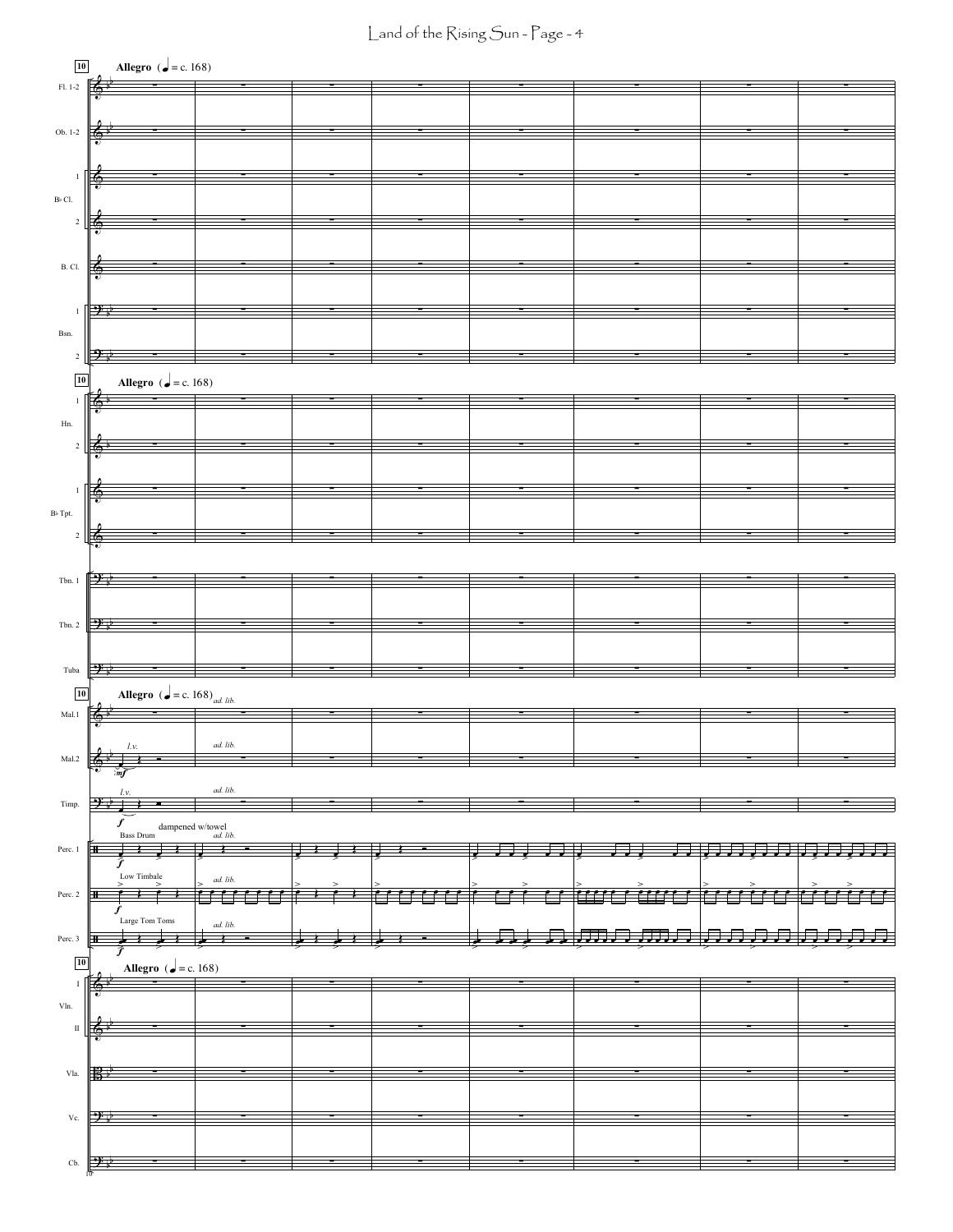Land of the Rising Sun - Page - 4